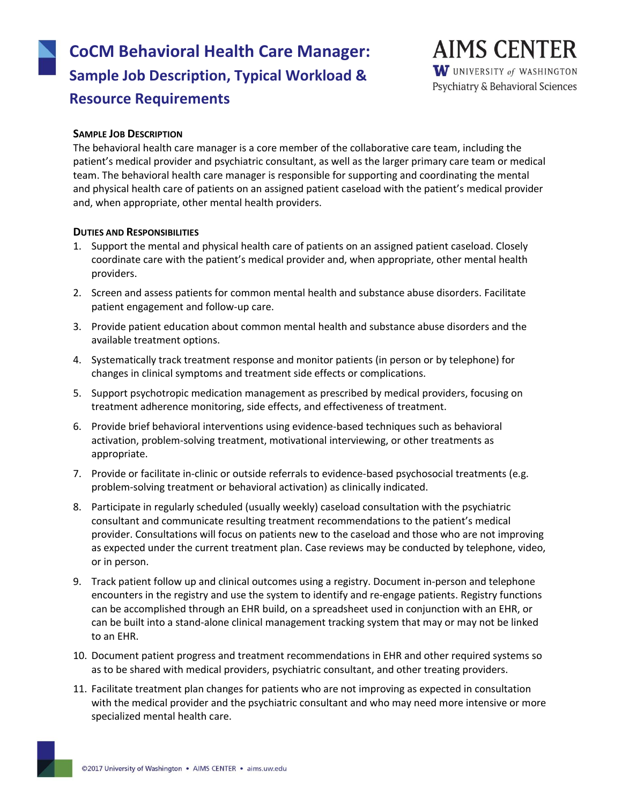# **CoCM Behavioral Health Care Manager: Sample Job Description, Typical Workload & Resource Requirements**

# **AIMS CENTER** W UNIVERSITY of WASHINGTON Psychiatry & Behavioral Sciences

### **SAMPLE JOB DESCRIPTION**

The behavioral health care manager is a core member of the collaborative care team, including the patient's medical provider and psychiatric consultant, as well as the larger primary care team or medical team. The behavioral health care manager is responsible for supporting and coordinating the mental and physical health care of patients on an assigned patient caseload with the patient's medical provider and, when appropriate, other mental health providers.

#### **DUTIES AND RESPONSIBILITIES**

- 1. Support the mental and physical health care of patients on an assigned patient caseload. Closely coordinate care with the patient's medical provider and, when appropriate, other mental health providers.
- 2. Screen and assess patients for common mental health and substance abuse disorders. Facilitate patient engagement and follow-up care.
- 3. Provide patient education about common mental health and substance abuse disorders and the available treatment options.
- 4. Systematically track treatment response and monitor patients (in person or by telephone) for changes in clinical symptoms and treatment side effects or complications.
- 5. Support psychotropic medication management as prescribed by medical providers, focusing on treatment adherence monitoring, side effects, and effectiveness of treatment.
- 6. Provide brief behavioral interventions using evidence-based techniques such as behavioral activation, problem-solving treatment, motivational interviewing, or other treatments as appropriate.
- 7. Provide or facilitate in-clinic or outside referrals to evidence-based psychosocial treatments (e.g. problem-solving treatment or behavioral activation) as clinically indicated.
- 8. Participate in regularly scheduled (usually weekly) caseload consultation with the psychiatric consultant and communicate resulting treatment recommendations to the patient's medical provider. Consultations will focus on patients new to the caseload and those who are not improving as expected under the current treatment plan. Case reviews may be conducted by telephone, video, or in person.
- 9. Track patient follow up and clinical outcomes using a registry. Document in-person and telephone encounters in the registry and use the system to identify and re-engage patients. Registry functions can be accomplished through an EHR build, on a spreadsheet used in conjunction with an EHR, or can be built into a stand-alone clinical management tracking system that may or may not be linked to an EHR.
- 10. Document patient progress and treatment recommendations in EHR and other required systems so as to be shared with medical providers, psychiatric consultant, and other treating providers.
- 11. Facilitate treatment plan changes for patients who are not improving as expected in consultation with the medical provider and the psychiatric consultant and who may need more intensive or more specialized mental health care.